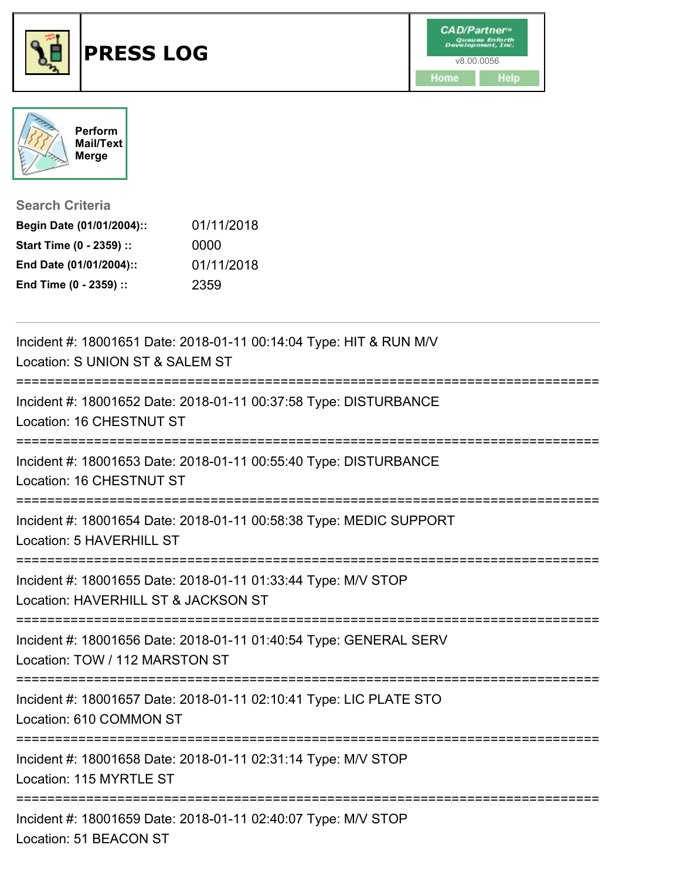



**Search Criteria**

| Begin Date (01/01/2004):: | 01/11/2018 |
|---------------------------|------------|
| Start Time (0 - 2359) ::  | 0000       |
| End Date (01/01/2004)::   | 01/11/2018 |
| End Time (0 - 2359) ::    | 2359       |

| Incident #: 18001651 Date: 2018-01-11 00:14:04 Type: HIT & RUN M/V<br>Location: S UNION ST & SALEM ST<br><u>============</u>           |
|----------------------------------------------------------------------------------------------------------------------------------------|
| Incident #: 18001652 Date: 2018-01-11 00:37:58 Type: DISTURBANCE<br>Location: 16 CHESTNUT ST<br>-------------------------------------- |
| Incident #: 18001653 Date: 2018-01-11 00:55:40 Type: DISTURBANCE<br>Location: 16 CHESTNUT ST                                           |
| Incident #: 18001654 Date: 2018-01-11 00:58:38 Type: MEDIC SUPPORT<br>Location: 5 HAVERHILL ST                                         |
| Incident #: 18001655 Date: 2018-01-11 01:33:44 Type: M/V STOP<br>Location: HAVERHILL ST & JACKSON ST                                   |
| Incident #: 18001656 Date: 2018-01-11 01:40:54 Type: GENERAL SERV<br>Location: TOW / 112 MARSTON ST                                    |
| Incident #: 18001657 Date: 2018-01-11 02:10:41 Type: LIC PLATE STO<br>Location: 610 COMMON ST                                          |
| Incident #: 18001658 Date: 2018-01-11 02:31:14 Type: M/V STOP<br>Location: 115 MYRTLE ST                                               |
| Incident #: 18001659 Date: 2018-01-11 02:40:07 Type: M/V STOP<br>Location: 51 BEACON ST                                                |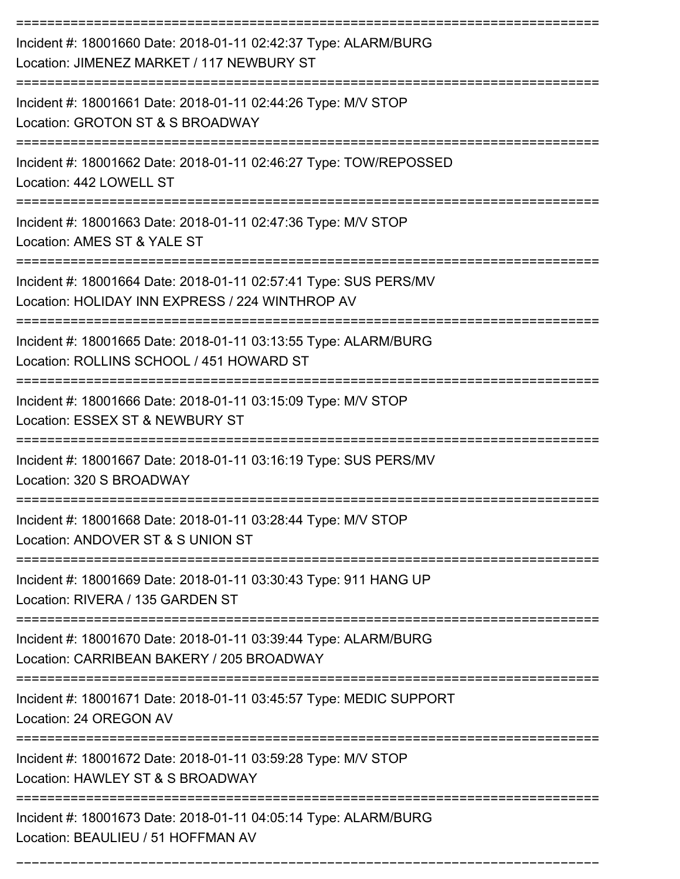| Incident #: 18001660 Date: 2018-01-11 02:42:37 Type: ALARM/BURG<br>Location: JIMENEZ MARKET / 117 NEWBURY ST        |
|---------------------------------------------------------------------------------------------------------------------|
| Incident #: 18001661 Date: 2018-01-11 02:44:26 Type: M/V STOP<br>Location: GROTON ST & S BROADWAY                   |
| Incident #: 18001662 Date: 2018-01-11 02:46:27 Type: TOW/REPOSSED<br>Location: 442 LOWELL ST                        |
| Incident #: 18001663 Date: 2018-01-11 02:47:36 Type: M/V STOP<br>Location: AMES ST & YALE ST                        |
| Incident #: 18001664 Date: 2018-01-11 02:57:41 Type: SUS PERS/MV<br>Location: HOLIDAY INN EXPRESS / 224 WINTHROP AV |
| Incident #: 18001665 Date: 2018-01-11 03:13:55 Type: ALARM/BURG<br>Location: ROLLINS SCHOOL / 451 HOWARD ST         |
| Incident #: 18001666 Date: 2018-01-11 03:15:09 Type: M/V STOP<br>Location: ESSEX ST & NEWBURY ST                    |
| Incident #: 18001667 Date: 2018-01-11 03:16:19 Type: SUS PERS/MV<br>Location: 320 S BROADWAY                        |
| Incident #: 18001668 Date: 2018-01-11 03:28:44 Type: M/V STOP<br>Location: ANDOVER ST & S UNION ST                  |
| Incident #: 18001669 Date: 2018-01-11 03:30:43 Type: 911 HANG UP<br>Location: RIVERA / 135 GARDEN ST                |
| Incident #: 18001670 Date: 2018-01-11 03:39:44 Type: ALARM/BURG<br>Location: CARRIBEAN BAKERY / 205 BROADWAY        |
| Incident #: 18001671 Date: 2018-01-11 03:45:57 Type: MEDIC SUPPORT<br>Location: 24 OREGON AV                        |
| Incident #: 18001672 Date: 2018-01-11 03:59:28 Type: M/V STOP<br>Location: HAWLEY ST & S BROADWAY                   |
| Incident #: 18001673 Date: 2018-01-11 04:05:14 Type: ALARM/BURG<br>Location: BEAULIEU / 51 HOFFMAN AV               |

===========================================================================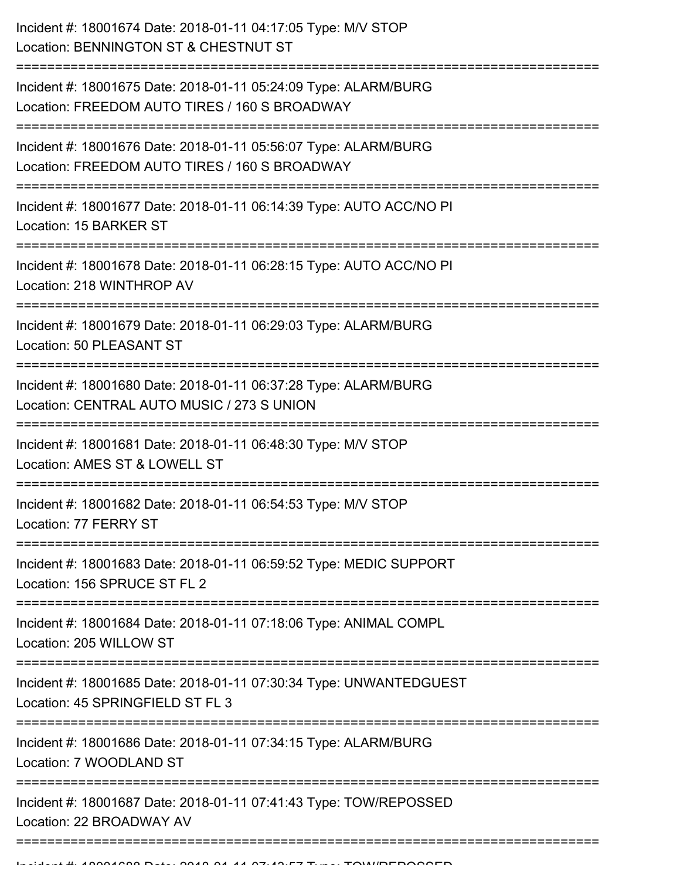| Incident #: 18001674 Date: 2018-01-11 04:17:05 Type: M/V STOP<br>Location: BENNINGTON ST & CHESTNUT ST               |
|----------------------------------------------------------------------------------------------------------------------|
| Incident #: 18001675 Date: 2018-01-11 05:24:09 Type: ALARM/BURG<br>Location: FREEDOM AUTO TIRES / 160 S BROADWAY     |
| Incident #: 18001676 Date: 2018-01-11 05:56:07 Type: ALARM/BURG<br>Location: FREEDOM AUTO TIRES / 160 S BROADWAY     |
| Incident #: 18001677 Date: 2018-01-11 06:14:39 Type: AUTO ACC/NO PI<br>Location: 15 BARKER ST                        |
| Incident #: 18001678 Date: 2018-01-11 06:28:15 Type: AUTO ACC/NO PI<br>Location: 218 WINTHROP AV<br>---------------- |
| Incident #: 18001679 Date: 2018-01-11 06:29:03 Type: ALARM/BURG<br>Location: 50 PLEASANT ST                          |
| Incident #: 18001680 Date: 2018-01-11 06:37:28 Type: ALARM/BURG<br>Location: CENTRAL AUTO MUSIC / 273 S UNION        |
| Incident #: 18001681 Date: 2018-01-11 06:48:30 Type: M/V STOP<br>Location: AMES ST & LOWELL ST                       |
| Incident #: 18001682 Date: 2018-01-11 06:54:53 Type: M/V STOP<br>Location: 77 FERRY ST                               |
| Incident #: 18001683 Date: 2018-01-11 06:59:52 Type: MEDIC SUPPORT<br>Location: 156 SPRUCE ST FL 2                   |
| Incident #: 18001684 Date: 2018-01-11 07:18:06 Type: ANIMAL COMPL<br>Location: 205 WILLOW ST                         |
| Incident #: 18001685 Date: 2018-01-11 07:30:34 Type: UNWANTEDGUEST<br>Location: 45 SPRINGFIELD ST FL 3               |
| Incident #: 18001686 Date: 2018-01-11 07:34:15 Type: ALARM/BURG<br>Location: 7 WOODLAND ST                           |
| Incident #: 18001687 Date: 2018-01-11 07:41:43 Type: TOW/REPOSSED<br>Location: 22 BROADWAY AV                        |
|                                                                                                                      |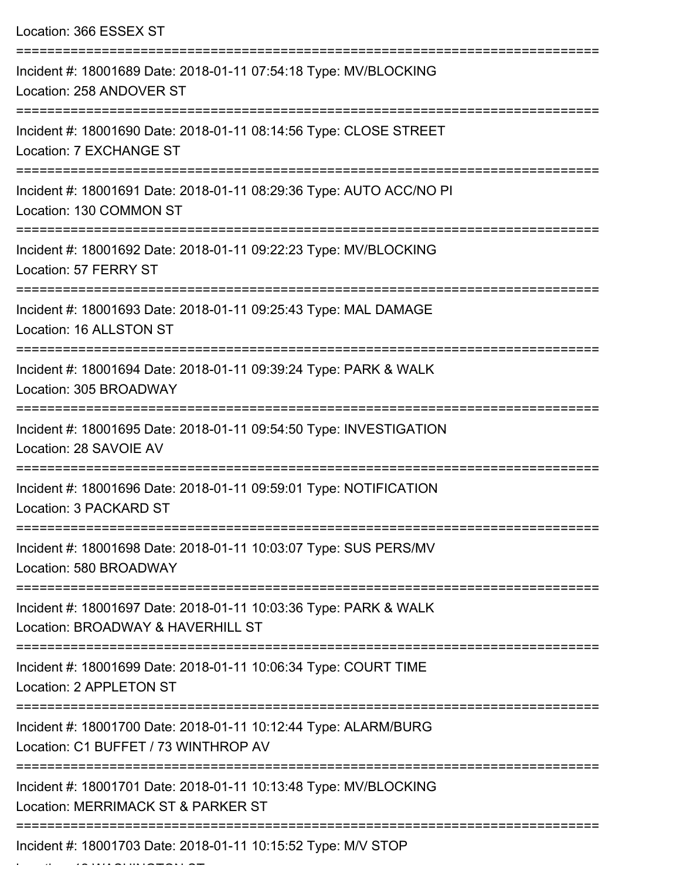| Location: 366 ESSEX ST                                                                                  |
|---------------------------------------------------------------------------------------------------------|
| Incident #: 18001689 Date: 2018-01-11 07:54:18 Type: MV/BLOCKING<br>Location: 258 ANDOVER ST            |
| Incident #: 18001690 Date: 2018-01-11 08:14:56 Type: CLOSE STREET<br>Location: 7 EXCHANGE ST            |
| Incident #: 18001691 Date: 2018-01-11 08:29:36 Type: AUTO ACC/NO PI<br>Location: 130 COMMON ST          |
| Incident #: 18001692 Date: 2018-01-11 09:22:23 Type: MV/BLOCKING<br>Location: 57 FERRY ST               |
| Incident #: 18001693 Date: 2018-01-11 09:25:43 Type: MAL DAMAGE<br>Location: 16 ALLSTON ST              |
| Incident #: 18001694 Date: 2018-01-11 09:39:24 Type: PARK & WALK<br>Location: 305 BROADWAY              |
| Incident #: 18001695 Date: 2018-01-11 09:54:50 Type: INVESTIGATION<br>Location: 28 SAVOIE AV            |
| Incident #: 18001696 Date: 2018-01-11 09:59:01 Type: NOTIFICATION<br>Location: 3 PACKARD ST             |
| Incident #: 18001698 Date: 2018-01-11 10:03:07 Type: SUS PERS/MV<br>Location: 580 BROADWAY              |
| Incident #: 18001697 Date: 2018-01-11 10:03:36 Type: PARK & WALK<br>Location: BROADWAY & HAVERHILL ST   |
| Incident #: 18001699 Date: 2018-01-11 10:06:34 Type: COURT TIME<br>Location: 2 APPLETON ST              |
| Incident #: 18001700 Date: 2018-01-11 10:12:44 Type: ALARM/BURG<br>Location: C1 BUFFET / 73 WINTHROP AV |
| Incident #: 18001701 Date: 2018-01-11 10:13:48 Type: MV/BLOCKING<br>Location: MERRIMACK ST & PARKER ST  |
| Incident #: 18001703 Date: 2018-01-11 10:15:52 Type: M/V STOP                                           |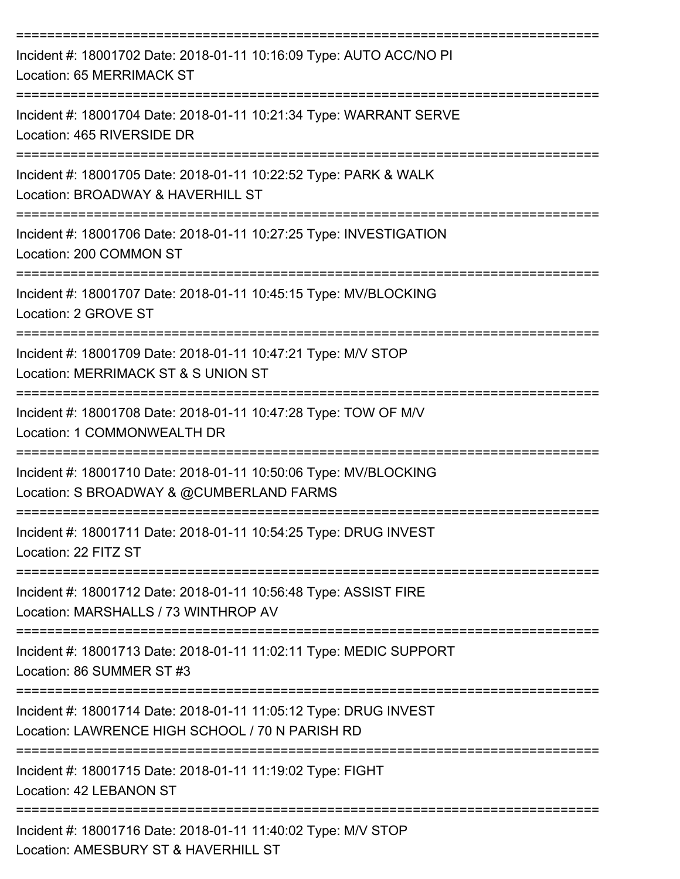| Incident #: 18001702 Date: 2018-01-11 10:16:09 Type: AUTO ACC/NO PI<br>Location: 65 MERRIMACK ST                                                  |
|---------------------------------------------------------------------------------------------------------------------------------------------------|
| Incident #: 18001704 Date: 2018-01-11 10:21:34 Type: WARRANT SERVE<br>Location: 465 RIVERSIDE DR                                                  |
| Incident #: 18001705 Date: 2018-01-11 10:22:52 Type: PARK & WALK<br>Location: BROADWAY & HAVERHILL ST                                             |
| Incident #: 18001706 Date: 2018-01-11 10:27:25 Type: INVESTIGATION<br>Location: 200 COMMON ST                                                     |
| Incident #: 18001707 Date: 2018-01-11 10:45:15 Type: MV/BLOCKING<br>Location: 2 GROVE ST                                                          |
| Incident #: 18001709 Date: 2018-01-11 10:47:21 Type: M/V STOP<br>Location: MERRIMACK ST & S UNION ST                                              |
| Incident #: 18001708 Date: 2018-01-11 10:47:28 Type: TOW OF M/V<br>Location: 1 COMMONWEALTH DR                                                    |
| Incident #: 18001710 Date: 2018-01-11 10:50:06 Type: MV/BLOCKING<br>Location: S BROADWAY & @CUMBERLAND FARMS                                      |
| Incident #: 18001711 Date: 2018-01-11 10:54:25 Type: DRUG INVEST<br>Location: 22 FITZ ST                                                          |
| Incident #: 18001712 Date: 2018-01-11 10:56:48 Type: ASSIST FIRE<br>Location: MARSHALLS / 73 WINTHROP AV                                          |
| Incident #: 18001713 Date: 2018-01-11 11:02:11 Type: MEDIC SUPPORT<br>Location: 86 SUMMER ST #3                                                   |
| --------------------------<br>Incident #: 18001714 Date: 2018-01-11 11:05:12 Type: DRUG INVEST<br>Location: LAWRENCE HIGH SCHOOL / 70 N PARISH RD |
| Incident #: 18001715 Date: 2018-01-11 11:19:02 Type: FIGHT<br>Location: 42 LEBANON ST                                                             |
| Incident #: 18001716 Date: 2018-01-11 11:40:02 Type: M/V STOP<br>Location: AMESBURY ST & HAVERHILL ST                                             |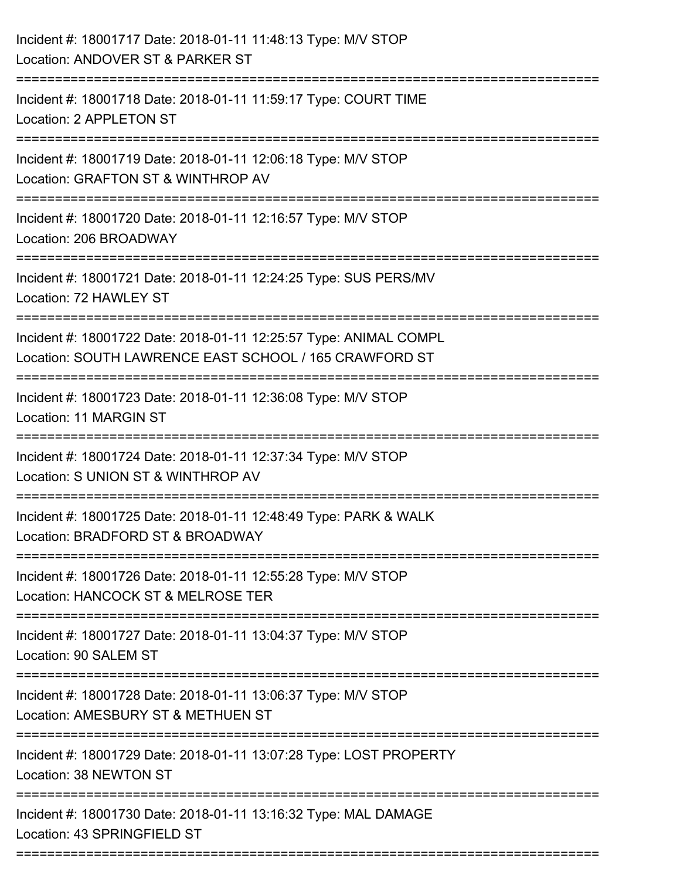| Incident #: 18001717 Date: 2018-01-11 11:48:13 Type: M/V STOP<br>Location: ANDOVER ST & PARKER ST                           |
|-----------------------------------------------------------------------------------------------------------------------------|
| Incident #: 18001718 Date: 2018-01-11 11:59:17 Type: COURT TIME<br>Location: 2 APPLETON ST                                  |
| Incident #: 18001719 Date: 2018-01-11 12:06:18 Type: M/V STOP<br>Location: GRAFTON ST & WINTHROP AV                         |
| Incident #: 18001720 Date: 2018-01-11 12:16:57 Type: M/V STOP<br>Location: 206 BROADWAY                                     |
| Incident #: 18001721 Date: 2018-01-11 12:24:25 Type: SUS PERS/MV<br>Location: 72 HAWLEY ST                                  |
| Incident #: 18001722 Date: 2018-01-11 12:25:57 Type: ANIMAL COMPL<br>Location: SOUTH LAWRENCE EAST SCHOOL / 165 CRAWFORD ST |
| Incident #: 18001723 Date: 2018-01-11 12:36:08 Type: M/V STOP<br>Location: 11 MARGIN ST                                     |
| Incident #: 18001724 Date: 2018-01-11 12:37:34 Type: M/V STOP<br>Location: S UNION ST & WINTHROP AV                         |
| Incident #: 18001725 Date: 2018-01-11 12:48:49 Type: PARK & WALK<br>Location: BRADFORD ST & BROADWAY                        |
| Incident #: 18001726 Date: 2018-01-11 12:55:28 Type: M/V STOP<br>Location: HANCOCK ST & MELROSE TER                         |
| Incident #: 18001727 Date: 2018-01-11 13:04:37 Type: M/V STOP<br>Location: 90 SALEM ST                                      |
| Incident #: 18001728 Date: 2018-01-11 13:06:37 Type: M/V STOP<br>Location: AMESBURY ST & METHUEN ST                         |
| Incident #: 18001729 Date: 2018-01-11 13:07:28 Type: LOST PROPERTY<br>Location: 38 NEWTON ST                                |
| Incident #: 18001730 Date: 2018-01-11 13:16:32 Type: MAL DAMAGE<br>Location: 43 SPRINGFIELD ST                              |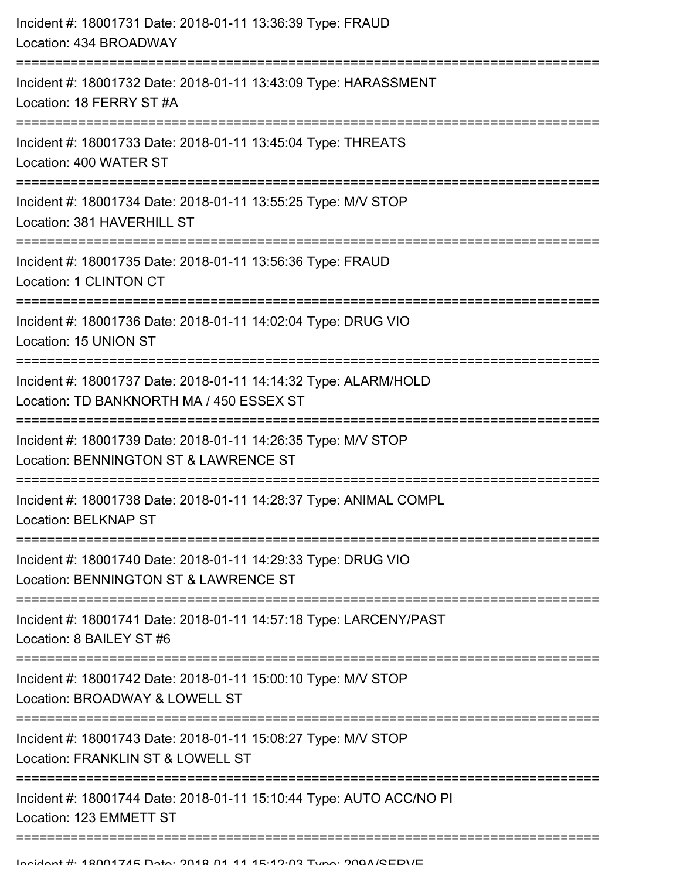| Incident #: 18001731 Date: 2018-01-11 13:36:39 Type: FRAUD<br>Location: 434 BROADWAY                                                                                      |
|---------------------------------------------------------------------------------------------------------------------------------------------------------------------------|
| Incident #: 18001732 Date: 2018-01-11 13:43:09 Type: HARASSMENT<br>Location: 18 FERRY ST #A                                                                               |
| Incident #: 18001733 Date: 2018-01-11 13:45:04 Type: THREATS<br>Location: 400 WATER ST                                                                                    |
| Incident #: 18001734 Date: 2018-01-11 13:55:25 Type: M/V STOP<br>Location: 381 HAVERHILL ST                                                                               |
| Incident #: 18001735 Date: 2018-01-11 13:56:36 Type: FRAUD<br>Location: 1 CLINTON CT                                                                                      |
| Incident #: 18001736 Date: 2018-01-11 14:02:04 Type: DRUG VIO<br>Location: 15 UNION ST                                                                                    |
| Incident #: 18001737 Date: 2018-01-11 14:14:32 Type: ALARM/HOLD<br>Location: TD BANKNORTH MA / 450 ESSEX ST                                                               |
| Incident #: 18001739 Date: 2018-01-11 14:26:35 Type: M/V STOP<br>Location: BENNINGTON ST & LAWRENCE ST<br>---------------------------------<br>========================== |
| Incident #: 18001738 Date: 2018-01-11 14:28:37 Type: ANIMAL COMPL<br><b>Location: BELKNAP ST</b>                                                                          |
| Incident #: 18001740 Date: 2018-01-11 14:29:33 Type: DRUG VIO<br>Location: BENNINGTON ST & LAWRENCE ST                                                                    |
| Incident #: 18001741 Date: 2018-01-11 14:57:18 Type: LARCENY/PAST<br>Location: 8 BAILEY ST #6                                                                             |
| Incident #: 18001742 Date: 2018-01-11 15:00:10 Type: M/V STOP<br>Location: BROADWAY & LOWELL ST                                                                           |
| Incident #: 18001743 Date: 2018-01-11 15:08:27 Type: M/V STOP<br>Location: FRANKLIN ST & LOWELL ST                                                                        |
| Incident #: 18001744 Date: 2018-01-11 15:10:44 Type: AUTO ACC/NO PI<br>Location: 123 EMMETT ST                                                                            |
|                                                                                                                                                                           |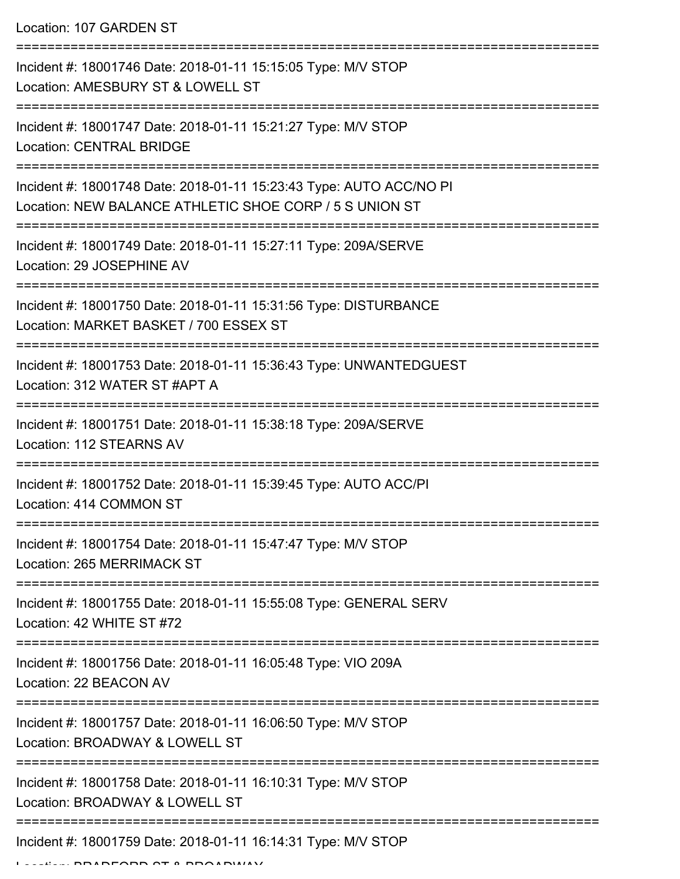Location: 107 GARDEN ST

| Incident #: 18001746 Date: 2018-01-11 15:15:05 Type: M/V STOP<br>Location: AMESBURY ST & LOWELL ST                             |
|--------------------------------------------------------------------------------------------------------------------------------|
| Incident #: 18001747 Date: 2018-01-11 15:21:27 Type: M/V STOP<br><b>Location: CENTRAL BRIDGE</b>                               |
| Incident #: 18001748 Date: 2018-01-11 15:23:43 Type: AUTO ACC/NO PI<br>Location: NEW BALANCE ATHLETIC SHOE CORP / 5 S UNION ST |
| Incident #: 18001749 Date: 2018-01-11 15:27:11 Type: 209A/SERVE<br>Location: 29 JOSEPHINE AV                                   |
| Incident #: 18001750 Date: 2018-01-11 15:31:56 Type: DISTURBANCE<br>Location: MARKET BASKET / 700 ESSEX ST                     |
| Incident #: 18001753 Date: 2018-01-11 15:36:43 Type: UNWANTEDGUEST<br>Location: 312 WATER ST #APT A                            |
| Incident #: 18001751 Date: 2018-01-11 15:38:18 Type: 209A/SERVE<br>Location: 112 STEARNS AV                                    |
| Incident #: 18001752 Date: 2018-01-11 15:39:45 Type: AUTO ACC/PI<br>Location: 414 COMMON ST                                    |
| Incident #: 18001754 Date: 2018-01-11 15:47:47 Type: M/V STOP<br>Location: 265 MERRIMACK ST                                    |
| Incident #: 18001755 Date: 2018-01-11 15:55:08 Type: GENERAL SERV<br>Location: 42 WHITE ST #72                                 |
| Incident #: 18001756 Date: 2018-01-11 16:05:48 Type: VIO 209A<br>Location: 22 BEACON AV                                        |
| Incident #: 18001757 Date: 2018-01-11 16:06:50 Type: M/V STOP<br>Location: BROADWAY & LOWELL ST                                |
| Incident #: 18001758 Date: 2018-01-11 16:10:31 Type: M/V STOP<br>Location: BROADWAY & LOWELL ST                                |
| Incident #: 18001759 Date: 2018-01-11 16:14:31 Type: M/V STOP                                                                  |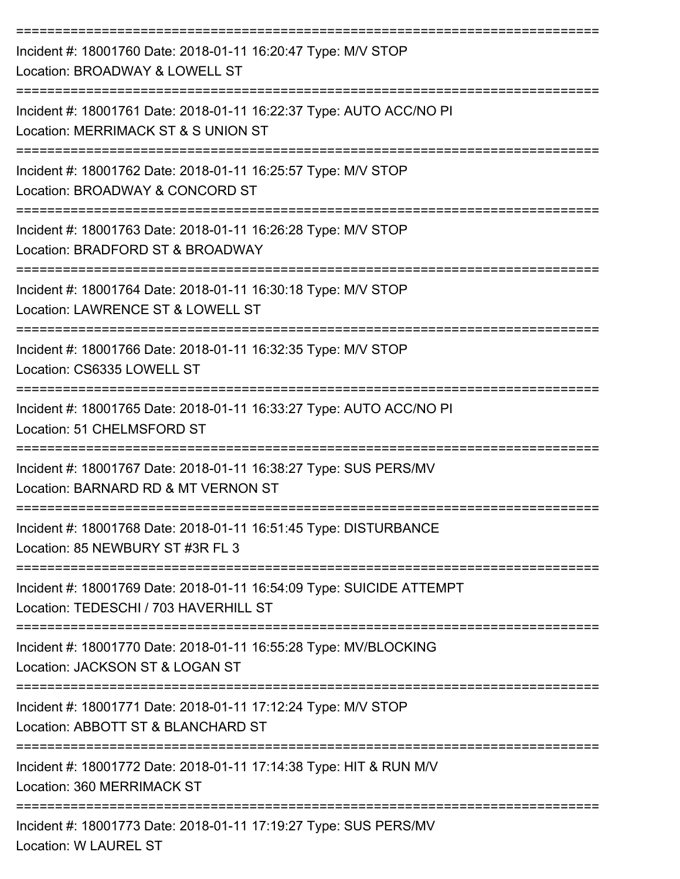| Incident #: 18001760 Date: 2018-01-11 16:20:47 Type: M/V STOP<br>Location: BROADWAY & LOWELL ST                                                  |
|--------------------------------------------------------------------------------------------------------------------------------------------------|
| Incident #: 18001761 Date: 2018-01-11 16:22:37 Type: AUTO ACC/NO PI<br>Location: MERRIMACK ST & S UNION ST                                       |
| Incident #: 18001762 Date: 2018-01-11 16:25:57 Type: M/V STOP<br>Location: BROADWAY & CONCORD ST                                                 |
| Incident #: 18001763 Date: 2018-01-11 16:26:28 Type: M/V STOP<br>Location: BRADFORD ST & BROADWAY                                                |
| Incident #: 18001764 Date: 2018-01-11 16:30:18 Type: M/V STOP<br>Location: LAWRENCE ST & LOWELL ST                                               |
| Incident #: 18001766 Date: 2018-01-11 16:32:35 Type: M/V STOP<br>Location: CS6335 LOWELL ST                                                      |
| Incident #: 18001765 Date: 2018-01-11 16:33:27 Type: AUTO ACC/NO PI<br>Location: 51 CHELMSFORD ST                                                |
| Incident #: 18001767 Date: 2018-01-11 16:38:27 Type: SUS PERS/MV<br>Location: BARNARD RD & MT VERNON ST                                          |
| Incident #: 18001768 Date: 2018-01-11 16:51:45 Type: DISTURBANCE<br>Location: 85 NEWBURY ST #3R FL 3                                             |
| -------------------------------<br>Incident #: 18001769 Date: 2018-01-11 16:54:09 Type: SUICIDE ATTEMPT<br>Location: TEDESCHI / 703 HAVERHILL ST |
| Incident #: 18001770 Date: 2018-01-11 16:55:28 Type: MV/BLOCKING<br>Location: JACKSON ST & LOGAN ST                                              |
| Incident #: 18001771 Date: 2018-01-11 17:12:24 Type: M/V STOP<br>Location: ABBOTT ST & BLANCHARD ST                                              |
| Incident #: 18001772 Date: 2018-01-11 17:14:38 Type: HIT & RUN M/V<br>Location: 360 MERRIMACK ST                                                 |
| Incident #: 18001773 Date: 2018-01-11 17:19:27 Type: SUS PERS/MV<br>Location: W LAUREL ST                                                        |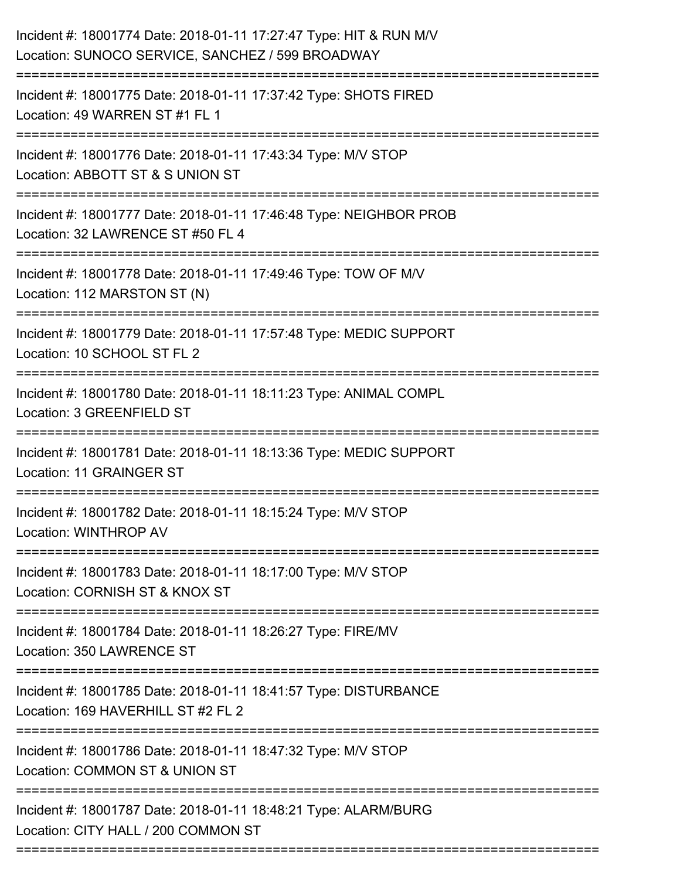| Incident #: 18001774 Date: 2018-01-11 17:27:47 Type: HIT & RUN M/V<br>Location: SUNOCO SERVICE, SANCHEZ / 599 BROADWAY |
|------------------------------------------------------------------------------------------------------------------------|
| Incident #: 18001775 Date: 2018-01-11 17:37:42 Type: SHOTS FIRED<br>Location: 49 WARREN ST #1 FL 1                     |
| Incident #: 18001776 Date: 2018-01-11 17:43:34 Type: M/V STOP<br>Location: ABBOTT ST & S UNION ST<br>-----------       |
| Incident #: 18001777 Date: 2018-01-11 17:46:48 Type: NEIGHBOR PROB<br>Location: 32 LAWRENCE ST #50 FL 4                |
| Incident #: 18001778 Date: 2018-01-11 17:49:46 Type: TOW OF M/V<br>Location: 112 MARSTON ST (N)                        |
| Incident #: 18001779 Date: 2018-01-11 17:57:48 Type: MEDIC SUPPORT<br>Location: 10 SCHOOL ST FL 2                      |
| Incident #: 18001780 Date: 2018-01-11 18:11:23 Type: ANIMAL COMPL<br>Location: 3 GREENFIELD ST                         |
| Incident #: 18001781 Date: 2018-01-11 18:13:36 Type: MEDIC SUPPORT<br><b>Location: 11 GRAINGER ST</b>                  |
| Incident #: 18001782 Date: 2018-01-11 18:15:24 Type: M/V STOP<br>Location: WINTHROP AV                                 |
| Incident #: 18001783 Date: 2018-01-11 18:17:00 Type: M/V STOP<br>Location: CORNISH ST & KNOX ST                        |
| Incident #: 18001784 Date: 2018-01-11 18:26:27 Type: FIRE/MV<br>Location: 350 LAWRENCE ST                              |
| Incident #: 18001785 Date: 2018-01-11 18:41:57 Type: DISTURBANCE<br>Location: 169 HAVERHILL ST #2 FL 2                 |
| Incident #: 18001786 Date: 2018-01-11 18:47:32 Type: M/V STOP<br>Location: COMMON ST & UNION ST                        |
| Incident #: 18001787 Date: 2018-01-11 18:48:21 Type: ALARM/BURG<br>Location: CITY HALL / 200 COMMON ST                 |
|                                                                                                                        |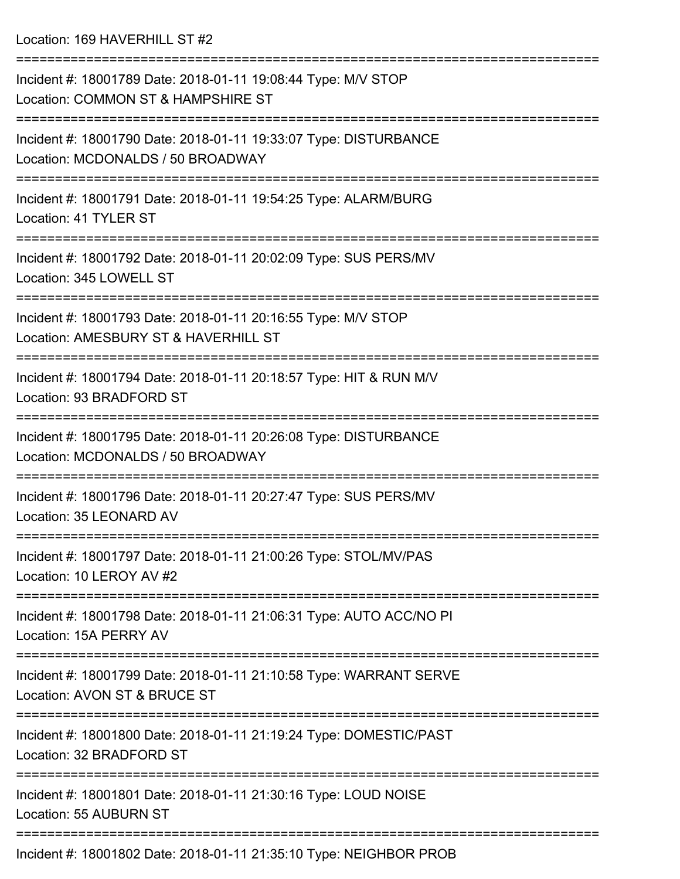| Incident #: 18001789 Date: 2018-01-11 19:08:44 Type: M/V STOP<br>Location: COMMON ST & HAMPSHIRE ST   |
|-------------------------------------------------------------------------------------------------------|
| Incident #: 18001790 Date: 2018-01-11 19:33:07 Type: DISTURBANCE<br>Location: MCDONALDS / 50 BROADWAY |
| Incident #: 18001791 Date: 2018-01-11 19:54:25 Type: ALARM/BURG<br>Location: 41 TYLER ST              |
| Incident #: 18001792 Date: 2018-01-11 20:02:09 Type: SUS PERS/MV<br>Location: 345 LOWELL ST           |
| Incident #: 18001793 Date: 2018-01-11 20:16:55 Type: M/V STOP<br>Location: AMESBURY ST & HAVERHILL ST |
| Incident #: 18001794 Date: 2018-01-11 20:18:57 Type: HIT & RUN M/V<br>Location: 93 BRADFORD ST        |
| Incident #: 18001795 Date: 2018-01-11 20:26:08 Type: DISTURBANCE<br>Location: MCDONALDS / 50 BROADWAY |
| Incident #: 18001796 Date: 2018-01-11 20:27:47 Type: SUS PERS/MV<br>Location: 35 LEONARD AV           |
| Incident #: 18001797 Date: 2018-01-11 21:00:26 Type: STOL/MV/PAS<br>Location: 10 LEROY AV #2          |
| Incident #: 18001798 Date: 2018-01-11 21:06:31 Type: AUTO ACC/NO PI<br>Location: 15A PERRY AV         |
| Incident #: 18001799 Date: 2018-01-11 21:10:58 Type: WARRANT SERVE<br>Location: AVON ST & BRUCE ST    |
| Incident #: 18001800 Date: 2018-01-11 21:19:24 Type: DOMESTIC/PAST<br>Location: 32 BRADFORD ST        |
| Incident #: 18001801 Date: 2018-01-11 21:30:16 Type: LOUD NOISE<br>Location: 55 AUBURN ST             |
| Incident #: 18001802 Date: 2018-01-11 21:35:10 Type: NEIGHBOR PROB                                    |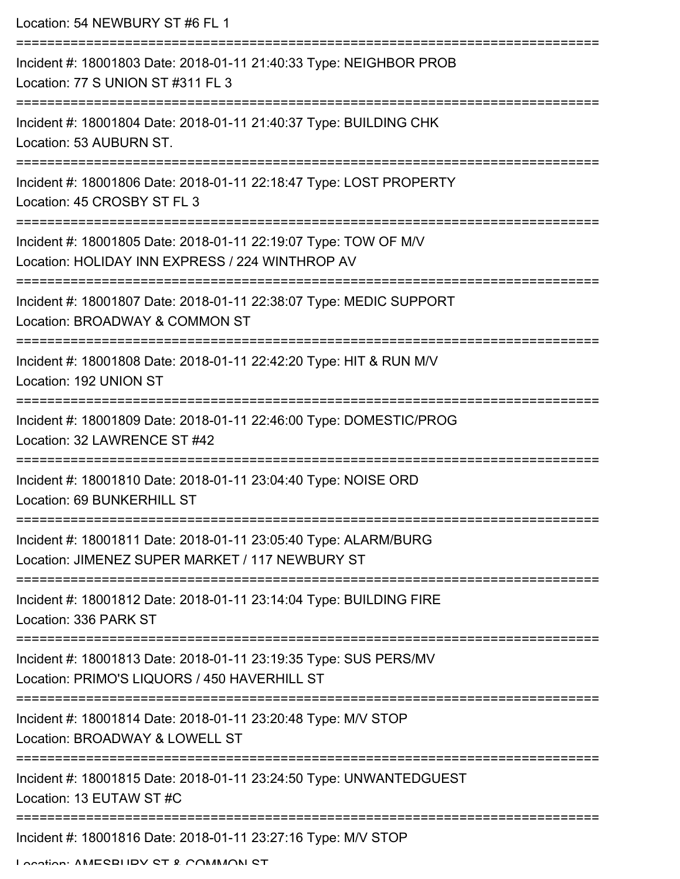| Location: 54 NEWBURY ST #6 FL 1                                                                                                           |
|-------------------------------------------------------------------------------------------------------------------------------------------|
| Incident #: 18001803 Date: 2018-01-11 21:40:33 Type: NEIGHBOR PROB<br>Location: 77 S UNION ST #311 FL 3                                   |
| Incident #: 18001804 Date: 2018-01-11 21:40:37 Type: BUILDING CHK<br>Location: 53 AUBURN ST.                                              |
| Incident #: 18001806 Date: 2018-01-11 22:18:47 Type: LOST PROPERTY<br>Location: 45 CROSBY ST FL 3<br>___________________                  |
| Incident #: 18001805 Date: 2018-01-11 22:19:07 Type: TOW OF M/V<br>Location: HOLIDAY INN EXPRESS / 224 WINTHROP AV                        |
| Incident #: 18001807 Date: 2018-01-11 22:38:07 Type: MEDIC SUPPORT<br>Location: BROADWAY & COMMON ST                                      |
| Incident #: 18001808 Date: 2018-01-11 22:42:20 Type: HIT & RUN M/V<br>Location: 192 UNION ST                                              |
| Incident #: 18001809 Date: 2018-01-11 22:46:00 Type: DOMESTIC/PROG<br>Location: 32 LAWRENCE ST #42                                        |
| ----------------------<br>---------------<br>Incident #: 18001810 Date: 2018-01-11 23:04:40 Type: NOISE ORD<br>Location: 69 BUNKERHILL ST |
| Incident #: 18001811 Date: 2018-01-11 23:05:40 Type: ALARM/BURG<br>Location: JIMENEZ SUPER MARKET / 117 NEWBURY ST                        |
| Incident #: 18001812 Date: 2018-01-11 23:14:04 Type: BUILDING FIRE<br>Location: 336 PARK ST                                               |
| Incident #: 18001813 Date: 2018-01-11 23:19:35 Type: SUS PERS/MV<br>Location: PRIMO'S LIQUORS / 450 HAVERHILL ST                          |
| Incident #: 18001814 Date: 2018-01-11 23:20:48 Type: M/V STOP<br>Location: BROADWAY & LOWELL ST                                           |
| Incident #: 18001815 Date: 2018-01-11 23:24:50 Type: UNWANTEDGUEST<br>Location: 13 EUTAW ST #C                                            |
| Incident #: 18001816 Date: 2018-01-11 23:27:16 Type: M/V STOP                                                                             |